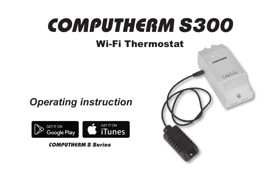# COMPUTHERM *S300* Wi-Fi Thermostat

# *Operating instruction*



#### COMPUTHERM *S Series*

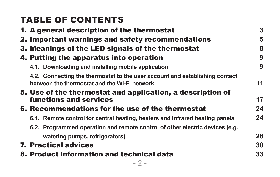| <b>TABLE OF CONTENTS</b>                                                                                                    |    |
|-----------------------------------------------------------------------------------------------------------------------------|----|
| 1. A general description of the thermostat                                                                                  | 3  |
| 2. Important warnings and safety recommendations                                                                            | 5  |
| 3. Meanings of the LED signals of the thermostat                                                                            | 8  |
| 4. Putting the apparatus into operation                                                                                     | 9  |
| 4.1. Downloading and installing mobile application                                                                          | 9  |
| 4.2. Connecting the thermostat to the user account and establishing contact<br>between the thermostat and the Wi-Fi network | 11 |
| 5. Use of the thermostat and application, a description of                                                                  |    |
| functions and services                                                                                                      | 17 |
| 6. Recommendations for the use of the thermostat                                                                            | 24 |
| 6.1. Remote control for central heating, heaters and infrared heating panels                                                | 24 |
| 6.2. Programmed operation and remote control of other electric devices (e.g.                                                |    |
| watering pumps, refrigerators)                                                                                              | 28 |
| <b>7. Practical advices</b>                                                                                                 | 30 |
| 8. Product information and technical data                                                                                   | 33 |
| - 2 -                                                                                                                       |    |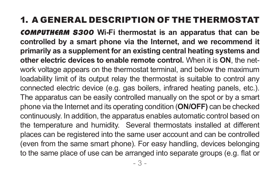# 1. A GENERAL DESCRIPTION OF THE THERMOSTAT

COMPUTHERM *S300* **Wi-Fi thermostat is an apparatus that can be controlled by a smart phone via the Internet, and we recommend it primarily as a supplement for an existing central heating systems and other electric devices to enable remote control.** When it is **ON**, the network voltage appears on the thermostat terminal, and below the maximum loadability limit of its output relay the thermostat is suitable to control any connected electric device (e.g. gas boilers, infrared heating panels, etc.). The apparatus can be easily controlled manually on the spot or by a smart phone via the Internet and its operating condition (**ON/OFF)** can be checked continuously. In addition, the apparatus enables automatic control based on the temperature and humidity. Several thermostats installed at different places can be registered into the same user account and can be controlled (even from the same smart phone). For easy handling, devices belonging to the same place of use can be arranged into separate groups (e.g. flat or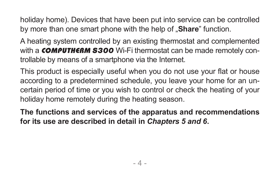holiday home). Devices that have been put into service can be controlled by more than one smart phone with the help of "**Share**" function.

A heating system controlled by an existing thermostat and complemented with a **COMPUTHERM S300** Wi-Fi thermostat can be made remotely controllable by means of a smartphone via the Internet.

This product is especially useful when you do not use your flat or house according to a predetermined schedule, you leave your home for an uncertain period of time or you wish to control or check the heating of your holiday home remotely during the heating season.

**The functions and services of the apparatus and recommendations for its use are described in detail in** *Chapters 5 and 6***.**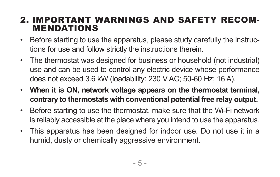#### 2. IMPORTANT WARNINGS AND SAFETY RECOM-MENDATIONS

- Before starting to use the apparatus, please study carefully the instructions for use and follow strictly the instructions therein.
- The thermostat was designed for business or household (not industrial) use and can be used to control any electric device whose performance does not exceed 3.6 kW (loadability: 230 V AC; 50-60 Hz; 16 A).
- **When it is ON, network voltage appears on the thermostat terminal, contrary to thermostats with conventional potential free relay output.**
- Before starting to use the thermostat, make sure that the Wi-Fi network is reliably accessible at the place where you intend to use the apparatus.
- This apparatus has been designed for indoor use. Do not use it in a humid, dusty or chemically aggressive environment.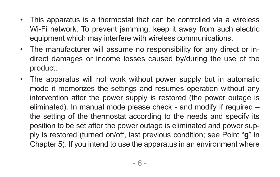- This apparatus is a thermostat that can be controlled via a wireless Wi-Fi network. To prevent jamming, keep it away from such electric equipment which may interfere with wireless communications.
- The manufacturer will assume no responsibility for any direct or indirect damages or income losses caused by/during the use of the product.
- The apparatus will not work without power supply but in automatic mode it memorizes the settings and resumes operation without any intervention after the power supply is restored (the power outage is eliminated). In manual mode please check - and modify if required – the setting of the thermostat according to the needs and specify its position to be set after the power outage is eliminated and power supply is restored (turned on/off, last previous condition; see Point "**g**" in Chapter 5). If you intend to use the apparatus in an environment where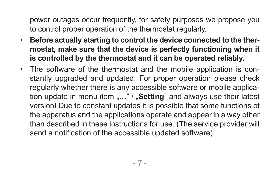power outages occur frequently, for safety purposes we propose you to control proper operation of the thermostat regularly.

- **Before actually starting to control the device connected to the thermostat, make sure that the device is perfectly functioning when it is controlled by the thermostat and it can be operated reliably.**
- The software of the thermostat and the mobile application is constantly upgraded and updated. For proper operation please check regularly whether there is any accessible software or mobile application update in menu item "..." / "**Setting**" and always use their latest version! Due to constant updates it is possible that some functions of the apparatus and the applications operate and appear in a way other than described in these instructions for use. (The service provider will send a notification of the accessible updated software).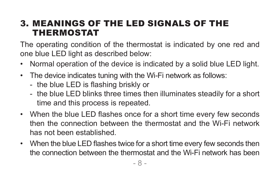## 3. MEANINGS OF THE LED SIGNALS OF THE THERMOSTAT

The operating condition of the thermostat is indicated by one red and one blue LED light as described below:

- Normal operation of the device is indicated by a solid blue LED light.
- The device indicates tuning with the Wi-Fi network as follows:
	- the blue LED is flashing briskly or
	- the blue LED blinks three times then illuminates steadily for a short time and this process is repeated.
- When the blue LED flashes once for a short time every few seconds then the connection between the thermostat and the Wi-Fi network has not been established.
- When the blue LED flashes twice for a short time every few seconds then the connection between the thermostat and the Wi-Fi network has been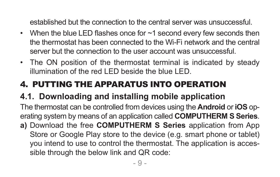established but the connection to the central server was unsuccessful.

- When the blue LED flashes once for ~1 second every few seconds then the thermostat has been connected to the Wi-Fi network and the central server but the connection to the user account was unsuccessful.
- The ON position of the thermostat terminal is indicated by steady illumination of the red LED beside the blue LED.

# 4. PUTTING THE APPARATUS INTO OPERATION

# **4.1. Downloading and installing mobile application**

The thermostat can be controlled from devices using the **Android** or **iOS** operating system by means of an application called **COMPUTHERM S Series**. **a)** Download the free **COMPUTHERM S Series** application from App

Store or Google Play store to the device (e.g. smart phone or tablet) you intend to use to control the thermostat. The application is accessible through the below link and QR code: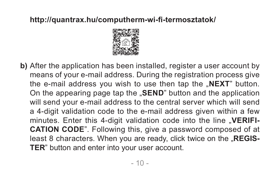#### **http://quantrax.hu/computherm-wi-fi-termosztatok/**



**b)** After the application has been installed, register a user account by means of your e-mail address. During the registration process give the e-mail address you wish to use then tap the "**NEXT**" button. On the appearing page tap the "**SEND**" button and the application will send your e-mail address to the central server which will send a 4-digit validation code to the e-mail address given within a few minutes. Enter this 4-digit validation code into the line "VERIFI-**CATION CODE**". Following this, give a password composed of at least 8 characters. When you are ready, click twice on the "**REGIS-TER**" button and enter into your user account.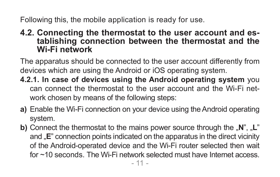Following this, the mobile application is ready for use.

# **4.2. Connecting the thermostat to the user account and es- tablishing connection between the thermostat and the Wi-Fi network**

The apparatus should be connected to the user account differently from devices which are using the Android or iOS operating system.

- **4.2.1. In case of devices using the Android operating system** you can connect the thermostat to the user account and the Wi-Fi network chosen by means of the following steps:
- **a)** Enable the Wi-Fi connection on your device using the Android operating system.
- **b)** Connect the thermostat to the mains power source through the "N", "L" and **"E**" connection points indicated on the apparatus in the direct vicinity of the Android-operated device and the Wi-Fi router selected then wait for ~10 seconds. The Wi-Fi network selected must have Internet access.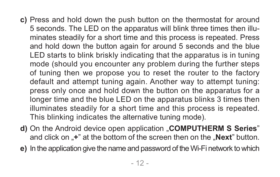- **c)** Press and hold down the push button on the thermostat for around 5 seconds. The LED on the apparatus will blink three times then illuminates steadily for a short time and this process is repeated. Press and hold down the button again for around 5 seconds and the blue LED starts to blink briskly indicating that the apparatus is in tuning mode (should you encounter any problem during the further steps of tuning then we propose you to reset the router to the factory default and attempt tuning again. Another way to attempt tuning: press only once and hold down the button on the apparatus for a longer time and the blue LED on the apparatus blinks 3 times then illuminates steadily for a short time and this process is repeated. This blinking indicates the alternative tuning mode).
- **d)** On the Android device open application "**COMPUTHERM S Series**" and click on ..<sup>+"</sup> at the bottom of the screen then on the "**Next**" button.
- **e)** In the application give the name and password of the Wi-Fi network to which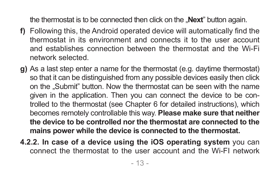the thermostat is to be connected then click on the "**Next**" button again.

- **f)** Following this, the Android operated device will automatically find the thermostat in its environment and connects it to the user account and establishes connection between the thermostat and the Wi-Fi network selected.
- **g)** As a last step enter a name for the thermostat (e.g. daytime thermostat) so that it can be distinguished from any possible devices easily then click on the "Submit" button. Now the thermostat can be seen with the name given in the application. Then you can connect the device to be controlled to the thermostat (see Chapter 6 for detailed instructions), which becomes remotely controllable this way. **Please make sure that neither the device to be controlled nor the thermostat are connected to the mains power while the device is connected to the thermostat.**
- **4.2.2. In case of a device using the iOS operating system** you can connect the thermostat to the user account and the Wi-FI network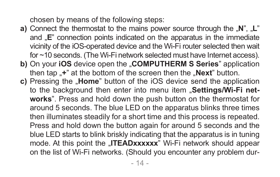chosen by means of the following steps:

- **a)** Connect the thermostat to the mains power source through the "N", "L" and **"E**" connection points indicated on the apparatus in the immediate vicinity of the iOS-operated device and the Wi-Fi router selected then wait for ~10 seconds. (The Wi-Fi network selected must have Internet access).
- **b)** On your **iOS** device open the "**COMPUTHERM S Series**" application then tap  $\cdot$ +" at the bottom of the screen then the  $\cdot$ **Next**" button.
- **c)** Pressing the "Home" button of the iOS device send the application to the background then enter into menu item "Settings/Wi-Fi net**works**". Press and hold down the push button on the thermostat for around 5 seconds. The blue LED on the apparatus blinks three times then illuminates steadily for a short time and this process is repeated. Press and hold down the button again for around 5 seconds and the blue LED starts to blink briskly indicating that the apparatus is in tuning mode. At this point the "ITEADxxxxxx" Wi-Fi network should appear on the list of Wi-Fi networks. (Should you encounter any problem dur-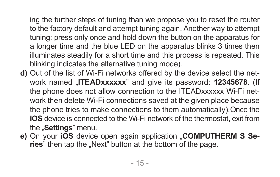ing the further steps of tuning than we propose you to reset the router to the factory default and attempt tuning again. Another way to attempt tuning: press only once and hold down the button on the apparatus for a longer time and the blue LED on the apparatus blinks 3 times then illuminates steadily for a short time and this process is repeated. This blinking indicates the alternative tuning mode).

- **d)** Out of the list of Wi-Fi networks offered by the device select the network named "**ITEADxxxxxx**" and give its password: **12345678**. (If the phone does not allow connection to the ITEADxxxxxx Wi-Fi network then delete Wi-Fi connections saved at the given place because the phone tries to make connections to them automatically).Once the **iOS** device is connected to the Wi-Fi network of the thermostat, exit from the **"Settings**" menu.
- **e)** On your **iOS** device open again application "**COMPUTHERM S Series**" then tap the "Next" button at the bottom of the page.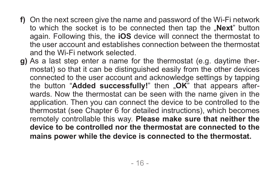- **f)** On the next screen give the name and password of the Wi-Fi network to which the socket is to be connected then tap the "**Next**" button again. Following this, the **iOS** device will connect the thermostat to the user account and establishes connection between the thermostat and the Wi-Fi network selected.
- **g)** As a last step enter a name for the thermostat (e.g. daytime thermostat) so that it can be distinguished easily from the other devices connected to the user account and acknowledge settings by tapping the button "**Added successfully!**" then "**OK**" that appears afterwards. Now the thermostat can be seen with the name given in the application. Then you can connect the device to be controlled to the thermostat (see Chapter 6 for detailed instructions), which becomes remotely controllable this way. **Please make sure that neither the device to be controlled nor the thermostat are connected to the mains power while the device is connected to the thermostat.**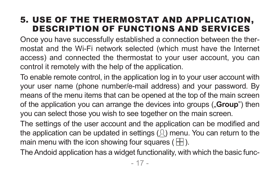#### 5. USE OF THE THERMOSTAT AND APPLICATION, DESCRIPTION OF FUNCTIONS AND SERVICES

Once you have successfully established a connection between the thermostat and the Wi-Fi network selected (which must have the Internet access) and connected the thermostat to your user account, you can control it remotely with the help of the application.

To enable remote control, in the application log in to your user account with your user name (phone number/e-mail address) and your password. By means of the menu items that can be opened at the top of the main screen of the application you can arrange the devices into groups ("**Group**") then you can select those you wish to see together on the main screen.

The settings of the user account and the application can be modified and the application can be updated in settings  $( \mathcal{R} )$  menu. You can return to the main menu with the icon showing four squares ( $\boxplus$ ).

The Andoid application has a widget functionality, with which the basic func-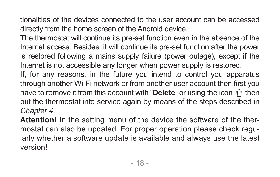tionalities of the devices connected to the user account can be accessed directly from the home screen of the Android device.

The thermostat will continue its pre-set function even in the absence of the Internet access. Besides, it will continue its pre-set function after the power is restored following a mains supply failure (power outage), except if the Internet is not accessible any longer when power supply is restored.

If, for any reasons, in the future you intend to control you apparatus through another Wi-Fi network or from another user account then first you have to remove it from this account with "**Delete**" or using the icon  $\hat{m}$  then put the thermostat into service again by means of the steps described in *Chapter 4.*

**Attention!** In the setting menu of the device the software of the thermostat can also be updated. For proper operation please check regularly whether a software update is available and always use the latest version!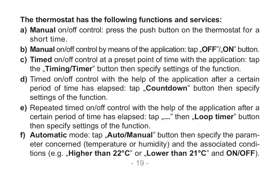#### **The thermostat has the following functions and services:**

- **a) Manual** on/off control: press the push button on the thermostat for a short time.
- **b) Manual** on/off control by means of the application: tap ..**OFF**"/..**ON**" button.
- **c) Timed** on/off control at a preset point of time with the application: tap the **"Timing/Timer**" button then specify settings of the function.
- **d)** Timed on/off control with the help of the application after a certain period of time has elapsed: tap "**Countdown**" button then specify settings of the function.
- **e)** Repeated timed on/off control with the help of the application after a certain period of time has elapsed: tap ...." then **Loop timer**" button then specify settings of the function.
- **f)** Automatic mode: tap "Auto/Manual" button then specify the parameter concerned (temperature or humidity) and the associated conditions (e.g. "**Higher than 22°C**" or "**Lower than 21°C**" and **ON/OFF**).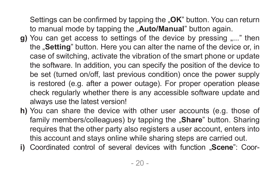Settings can be confirmed by tapping the "**OK**" button. You can return to manual mode by tapping the "Auto/Manual" button again.

- **g**) You can get access to settings of the device by pressing "..." then the "**Setting**" button. Here you can alter the name of the device or, in case of switching, activate the vibration of the smart phone or update the software. In addition, you can specify the position of the device to be set (turned on/off, last previous condition) once the power supply is restored (e.g. after a power outage). For proper operation please check regularly whether there is any accessible software update and always use the latest version!
- **h)** You can share the device with other user accounts (e.g. those of family members/colleagues) by tapping the **"Share**" button. Sharing requires that the other party also registers a user account, enters into this account and stays online while sharing steps are carried out.
- **i)** Coordinated control of several devices with function "Scene": Coor-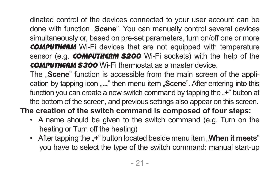dinated control of the devices connected to your user account can be done with function "**Scene**". You can manually control several devices simultaneously or, based on pre-set parameters, turn on/off one or more **COMPUTHERM** Wi-Fi devices that are not equipped with temperature sensor (e.g. **COMPUTHERM S200** Wi-Fi sockets) with the help of the COMPUTHERM *S300* Wi-Fi thermostat as a master device.

The "**Scene**" function is accessible from the main screen of the application by tapping icon "..." then menu item "**Scene**". After entering into this function you can create a new switch command by tapping the "<sup>+</sup>" button at the bottom of the screen, and previous settings also appear on this screen.

**The creation of the switch command is composed of four steps:**

- A name should be given to the switch command (e.g. Turn on the heating or Turn off the heating)
- After tapping the "+" button located beside menu item "**When it meets**" you have to select the type of the switch command: manual start-up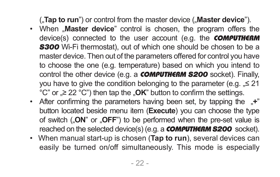("**Tap to run**") or control from the master device ("**Master device**").

- When "Master device" control is chosen, the program offers the device(s) connected to the user account (e.g. the **COMPUTHERM S300** Wi-Fi thermostat), out of which one should be chosen to be a master device. Then out of the parameters offered for control you have to choose the one (e.g. temperature) based on which you intend to control the other device (e.g. a **COMPUTHERM S200** socket). Finally, you have to give the condition belonging to the parameter (e.g.  $\leq 21$ ) °C" or <sub>"</sub>≥ 22 °C") then tap the "**OK**" button to confirm the settings.
- After confirming the parameters having been set, by tapping the "<sup>+</sup>" button located beside menu item (**Execute**) you can choose the type of switch ("**ON**" or "**OFF**") to be performed when the pre-set value is reached on the selected device(s) (e.g. a **COMPUTHERM S200** socket).
- When manual start-up is chosen (**Tap to run**), several devices can easily be turned on/off simultaneously. This mode is especially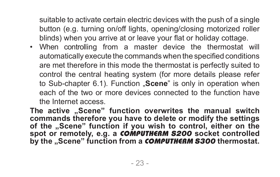suitable to activate certain electric devices with the push of a single button (e.g. turning on/off lights, opening/closing motorized roller blinds) when you arrive at or leave your flat or holiday cottage.

• When controlling from a master device the thermostat will automatically execute the commands when the specified conditions are met therefore in this mode the thermostat is perfectly suited to control the central heating system (for more details please refer to Sub-chapter 6.1). Function **"Scene**" is only in operation when each of the two or more devices connected to the function have the Internet access.

The active "Scene" function overwrites the manual switch **commands therefore you have to delete or modify the settings of the "Scene" function if you wish to control, either on the spot or remotely, e.g. a** COMPUTHERM *S200* **socket controlled by the "Scene" function from a** COMPUTHERM *S300* **thermostat.**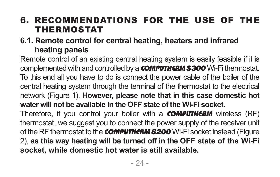## 6. RECOMMENDATIONS FOR THE USE OF THE THERMOSTAT

#### **6.1. Remote control for central heating, heaters and infrared heating panels**

Remote control of an existing central heating system is easily feasible if it is complemented with and controlled by a COMPUTHERM *S300* Wi-Fi thermostat. To this end all you have to do is connect the power cable of the boiler of the central heating system through the terminal of the thermostat to the electrical network (Figure 1). **However, please note that in this case domestic hot water will not be available in the OFF state of the Wi-Fi socket.** Therefore, if you control your boiler with a **COMPUTHERM** wireless (RF) thermostat, we suggest you to connect the power supply of the receiver unit of the RF thermostat to the **COMPUTHERM S200** Wi-Fi socket instead (Figure 2), **as this way heating will be turned off in the OFF state of the Wi-Fi socket, while domestic hot water is still available.**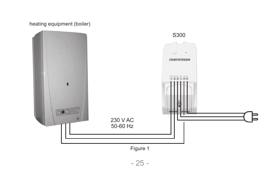#### heating equipment (boiler)



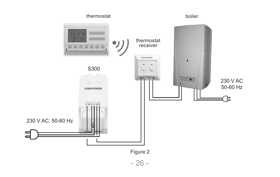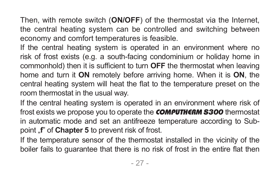Then, with remote switch (**ON/OFF**) of the thermostat via the Internet, the central heating system can be controlled and switching between economy and comfort temperatures is feasible.

If the central heating system is operated in an environment where no risk of frost exists (e.g. a south-facing condominium or holiday home in commonhold) then it is sufficient to turn **OFF** the thermostat when leaving home and turn it **ON** remotely before arriving home. When it is **ON**, the central heating system will heat the flat to the temperature preset on the room thermostat in the usual way.

If the central heating system is operated in an environment where risk of frost exists we propose you to operate the COMPUTHERM *S300* thermostat in automatic mode and set an antifreeze temperature according to Subpoint "f" of **Chapter 5** to prevent risk of frost.

If the temperature sensor of the thermostat installed in the vicinity of the boiler fails to guarantee that there is no risk of frost in the entire flat then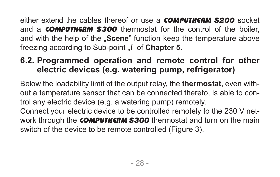either extend the cables thereof or use a COMPUTHERM *S200* socket and a COMPUTHERM *S300* thermostat for the control of the boiler, and with the help of the **"Scene**" function keep the temperature above freezing according to Sub-point "i" of **Chapter 5**.

## **6.2. Programmed operation and remote control for other electric devices (e.g. watering pump, refrigerator)**

Below the loadability limit of the output relay, the **thermostat**, even without a temperature sensor that can be connected thereto, is able to control any electric device (e.g. a watering pump) remotely.

Connect your electric device to be controlled remotely to the 230 V network through the COMPUTHERM *S300* thermostat and turn on the main switch of the device to be remote controlled (Figure 3).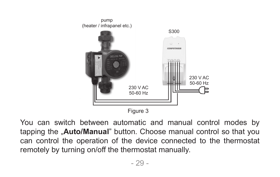

Figure 3

You can switch between automatic and manual control modes by tapping the "**Auto/Manual**" button. Choose manual control so that you can control the operation of the device connected to the thermostat remotely by turning on/off the thermostat manually.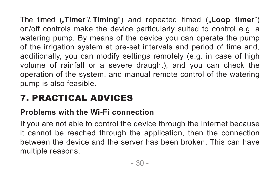The timed ("**Timer**"/"**Timing**") and repeated timed ("Loop timer") on/off controls make the device particularly suited to control e.g. a watering pump. By means of the device you can operate the pump of the irrigation system at pre-set intervals and period of time and, additionally, you can modify settings remotely (e.g. in case of high volume of rainfall or a severe draught), and you can check the operation of the system, and manual remote control of the watering pump is also feasible.

# 7. PRACTICAL ADVICES

#### **Problems with the Wi-Fi connection**

If you are not able to control the device through the Internet because it cannot be reached through the application, then the connection between the device and the server has been broken. This can have multiple reasons.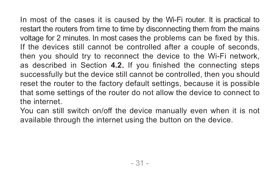In most of the cases it is caused by the Wi-Fi router. It is practical to restart the routers from time to time by disconnecting them from the mains voltage for 2 minutes. In most cases the problems can be fixed by this. If the devices still cannot be controlled after a couple of seconds, then you should try to reconnect the device to the Wi-Fi network, as described in Section **4.2.** If you finished the connecting steps successfully but the device still cannot be controlled, then you should reset the router to the factory default settings, because it is possible that some settings of the router do not allow the device to connect to the internet.

You can still switch on/off the device manually even when it is not available through the internet using the button on the device.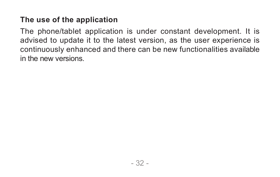#### **The use of the application**

The phone/tablet application is under constant development. It is advised to update it to the latest version, as the user experience is continuously enhanced and there can be new functionalities available in the new versions.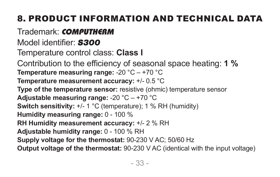# 8. PRODUCT INFORMATION AND TECHNICAL DATA

# Trademark: COMPUTHERM

Model identifier: *S300*

Temperature control class: **Class I**

Contribution to the efficiency of seasonal space heating: **1 % Temperature measuring range:** -20 °C – +70 °C

**Temperature measurement accuracy:** +/- 0.5 °C

**Type of the temperature sensor:** resistive (ohmic) temperature sensor **Adjustable measuring range:** -20 °C – +70 °C

```
Switch sensitivity: +/- 1 °C (temperature); 1 % RH (humidity)
```
**Humidity measuring range:** 0 - 100 %

**RH Humidity measurement accuracy:** +/- 2 % RH

**Adjustable humidity range:** 0 - 100 % RH

**Supply voltage for the thermostat:** 90-230 V AC; 50/60 Hz

**Output voltage of the thermostat:** 90-230 V AC (identical with the input voltage)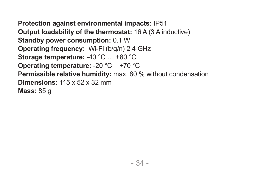**Protection against environmental impacts:** IP51 **Output loadability of the thermostat:** 16 A (3 A inductive) **Standby power consumption:** 0.1 W **Operating frequency:** Wi-Fi (b/g/n) 2.4 GHz **Storage temperature:** -40 °C … +80 °C **Operating temperature:** -20 °C – +70 °C **Permissible relative humidity:** max. 80 % without condensation **Dimensions:** 115 x 52 x 32 mm **Mass:** 85 g